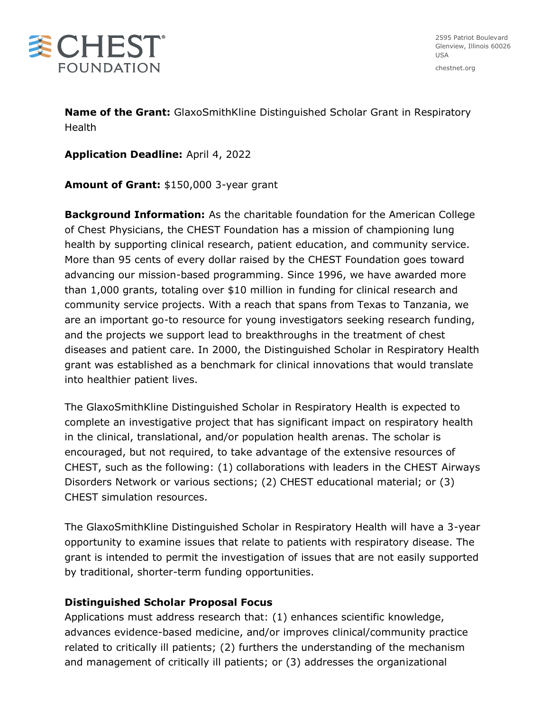

2595 Patriot Boulevard Glenview, Illinois 60026 USA

chestnet.org

**Name of the Grant:** GlaxoSmithKline Distinguished Scholar Grant in Respiratory Health

**Application Deadline:** April 4, 2022

**Amount of Grant:** \$150,000 3-year grant

**Background Information:** As the charitable foundation for the American College of Chest Physicians, the CHEST Foundation has a mission of championing lung health by supporting clinical research, patient education, and community service. More than 95 cents of every dollar raised by the CHEST Foundation goes toward advancing our mission-based programming. Since 1996, we have awarded more than 1,000 grants, totaling over \$10 million in funding for clinical research and community service projects. With a reach that spans from Texas to Tanzania, we are an important go-to resource for young investigators seeking research funding, and the projects we support lead to breakthroughs in the treatment of chest diseases and patient care. In 2000, the Distinguished Scholar in Respiratory Health grant was established as a benchmark for clinical innovations that would translate into healthier patient lives.

The GlaxoSmithKline Distinguished Scholar in Respiratory Health is expected to complete an investigative project that has significant impact on respiratory health in the clinical, translational, and/or population health arenas. The scholar is encouraged, but not required, to take advantage of the extensive resources of CHEST, such as the following: (1) collaborations with leaders in the CHEST Airways Disorders Network or various sections; (2) CHEST educational material; or (3) CHEST simulation resources.

The GlaxoSmithKline Distinguished Scholar in Respiratory Health will have a 3-year opportunity to examine issues that relate to patients with respiratory disease. The grant is intended to permit the investigation of issues that are not easily supported by traditional, shorter-term funding opportunities.

### **Distinguished Scholar Proposal Focus**

Applications must address research that: (1) enhances scientific knowledge, advances evidence-based medicine, and/or improves clinical/community practice related to critically ill patients; (2) furthers the understanding of the mechanism and management of critically ill patients; or (3) addresses the organizational